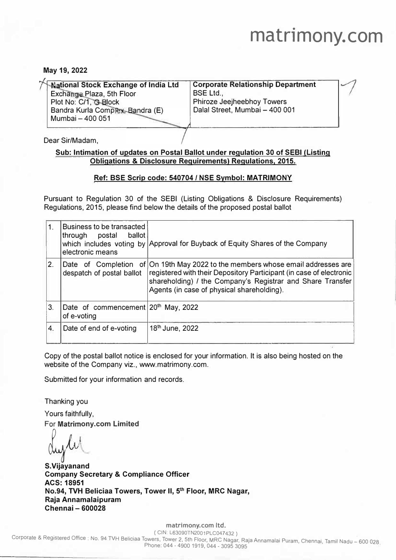## **matrimony. com**

#### **May 19, 2022**

| <b>National Stock Exchange of India Ltd</b>               | <b>Corporate Relationship Department</b>                            |  |
|-----------------------------------------------------------|---------------------------------------------------------------------|--|
| Exchange Plaza, 5th Floor                                 | <b>BSE Ltd.,</b>                                                    |  |
| Plot No: C/1, G-Block<br>Bandra Kurla Complex, Bandra (E) | <b>Phiroze Jeejheebhoy Towers</b><br>Dalal Street, Mumbai - 400 001 |  |
| Mumbai - 400 051                                          |                                                                     |  |

Dear Sir/Madam,

#### **Sub: Intimation of updates on Postal Ballot under regulation 30 of SEBI (Listing Obligations & Disclosure Requirements) Regulations, 2015.**

#### **Ref: BSE Scrip code: 540704 / NSE Symbol: MATRIMONY**

Pursuant to Regulation 30 of the SEBI (Listing Obligations & Disclosure Requirements) Regulations, 2015, please find below the details of the proposed postal ballot

| 1. | Business to be transacted<br>ballot<br>through<br>postal<br>electronic means | which includes voting by Approval for Buyback of Equity Shares of the Company                                                                                                                                                                |
|----|------------------------------------------------------------------------------|----------------------------------------------------------------------------------------------------------------------------------------------------------------------------------------------------------------------------------------------|
| 2. | Date of Completion of<br>despatch of postal ballot                           | On 19th May 2022 to the members whose email addresses are<br>registered with their Depository Participant (in case of electronic<br>shareholding) / the Company's Registrar and Share Transfer<br>Agents (in case of physical shareholding). |
| 3. | Date of commencement 20 <sup>th</sup> May, 2022<br>of e-voting               |                                                                                                                                                                                                                                              |
| 4. | Date of end of e-voting                                                      | 18 <sup>th</sup> June, 2022                                                                                                                                                                                                                  |

Copy of the postal ballot notice is enclosed for your information. It is also being hosted on the website of the Company viz., www.matrimony.com.

Submitted for your information and records.

Thanking you Yours faithfully,

**For Matrimony.com Limited**<br> *o*ny *b*<sub>1</sub> *k* 

**S.Vijayanand Company Secretary & Compliance Officer ACS: 18951 No.94, TVH Beliciaa Towers, Tower II, 5 th Floor, MRC Nagar, Raja Annamalaipuram Chennai - 600028** 

**matrimony.com ltd.**<br>
( CIN: L63090TN2001PLC047432 )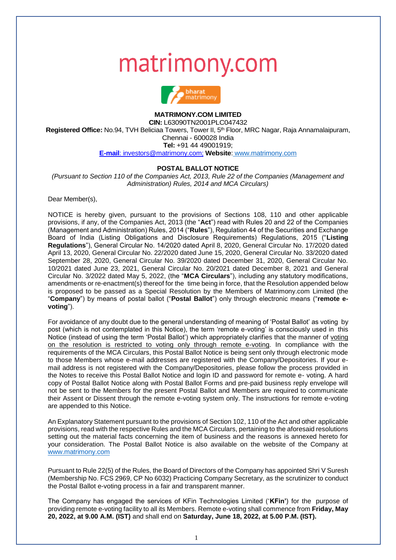# matrimony.com



### **MATRIMONY.COM LIMITED**

**CIN:** L63090TN2001PLC047432 **Registered Office:** No.94, TVH Beliciaa Towers, Tower II, 5th Floor, MRC Nagar, Raja Annamalaipuram, Chennai - 600028 India **Tel:** +91 44 49001919; **[E-mail](mailto:investors@goindigo.in;)**: investors@matrimony.com; **Website**: www.matrimony.com

#### **POSTAL BALLOT NOTICE**

*(Pursuant to Section 110 of the Companies Act, 2013, Rule 22 of the Companies (Management and Administration) Rules, 2014 and MCA Circulars)*

Dear Member(s),

NOTICE is hereby given, pursuant to the provisions of Sections 108, 110 and other applicable provisions, if any, of the Companies Act, 2013 (the "**Act**") read with Rules 20 and 22 of the Companies (Management and Administration) Rules, 2014 ("**Rules**"), Regulation 44 of the Securities and Exchange Board of India (Listing Obligations and Disclosure Requirements) Regulations, 2015 ("**Listing Regulations**"), General Circular No. 14/2020 dated April 8, 2020, General Circular No. 17/2020 dated April 13, 2020, General Circular No. 22/2020 dated June 15, 2020, General Circular No. 33/2020 dated September 28, 2020, General Circular No. 39/2020 dated December 31, 2020, General Circular No. 10/2021 dated June 23, 2021, General Circular No. 20/2021 dated December 8, 2021 and General Circular No. 3/2022 dated May 5, 2022, (the "**MCA Circulars**"), including any statutory modifications, amendments or re-enactment(s) thereof for the time being in force, that the Resolution appended below is proposed to be passed as a Special Resolution by the Members of Matrimony.com Limited (the "**Company**") by means of postal ballot ("**Postal Ballot**") only through electronic means ("**remote evoting**").

For avoidance of any doubt due to the general understanding of meaning of 'Postal Ballot' as voting by post (which is not contemplated in this Notice), the term 'remote e-voting' is consciously used in this Notice (instead of using the term 'Postal Ballot') which appropriately clarifies that the manner of voting on the resolution is restricted to voting only through remote e-voting. In compliance with the requirements of the MCA Circulars, this Postal Ballot Notice is being sent only through electronic mode to those Members whose e-mail addresses are registered with the Company/Depositories. If your email address is not registered with the Company/Depositories, please follow the process provided in the Notes to receive this Postal Ballot Notice and login ID and password for remote e- voting. A hard copy of Postal Ballot Notice along with Postal Ballot Forms and pre-paid business reply envelope will not be sent to the Members for the present Postal Ballot and Members are required to communicate their Assent or Dissent through the remote e-voting system only. The instructions for remote e-voting are appended to this Notice.

An Explanatory Statement pursuant to the provisions of Section 102, 110 of the Act and other applicable provisions, read with the respective Rules and the MCA Circulars, pertaining to the aforesaid resolutions setting out the material facts concerning the item of business and the reasons is annexed hereto for your consideration. The Postal Ballot Notice is also available on the website of the Company at www.matrimony.com

Pursuant to Rule 22(5) of the Rules, the Board of Directors of the Company has appointed Shri V Suresh (Membership No. FCS 2969, CP No 6032) Practicing Company Secretary, as the scrutinizer to conduct the Postal Ballot e-voting process in a fair and transparent manner.

The Company has engaged the services of KFin Technologies Limited ('**KFin'**) for the purpose of providing remote e-voting facility to all its Members. Remote e-voting shall commence from **Friday, May 20, 2022, at 9.00 A.M. (IST)** and shall end on **Saturday, June 18, 2022, at 5.00 P.M. (IST).**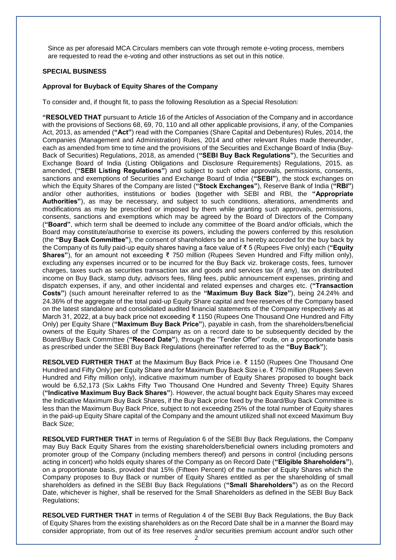Since as per aforesaid MCA Circulars members can vote through remote e-voting process, members are requested to read the e-voting and other instructions as set out in this notice.

#### **SPECIAL BUSINESS**

#### **Approval for Buyback of Equity Shares of the Company**

To consider and, if thought fit, to pass the following Resolution as a Special Resolution:

**"RESOLVED THAT** pursuant to Article 16 of the Articles of Association of the Company and in accordance with the provisions of Sections 68, 69, 70, 110 and all other applicable provisions, if any, of the Companies Act, 2013, as amended (**"Act"**) read with the Companies (Share Capital and Debentures) Rules, 2014, the Companies (Management and Administration) Rules, 2014 and other relevant Rules made thereunder, each as amended from time to time and the provisions of the Securities and Exchange Board of India (Buy‐ Back of Securities) Regulations, 2018, as amended (**"SEBI Buy Back Regulations"**), the Securities and Exchange Board of India (Listing Obligations and Disclosure Requirements) Regulations, 2015, as amended, (**"SEBI Listing Regulations"**) and subject to such other approvals, permissions, consents, sanctions and exemptions of Securities and Exchange Board of India (**"SEBI"**), the stock exchanges on which the Equity Shares of the Company are listed ("Stock Exchanges"), Reserve Bank of India ("RBI") and/or other authorities, institutions or bodies (together with SEBI and RBI, the **"Appropriate Authorities"**), as may be necessary, and subject to such conditions, alterations, amendments and modifications as may be prescribed or imposed by them while granting such approvals, permissions, consents, sanctions and exemptions which may be agreed by the Board of Directors of the Company (**"Board"**, which term shall be deemed to include any committee of the Board and/or officials, which the Board may constitute/authorise to exercise its powers, including the powers conferred by this resolution (the **"Buy Back Committee"**), the consent of shareholders be and is hereby accorded for the buy back by the Company of its fully paid‐up equity shares having a face value of ₹ 5 (Rupees Five only) each (**"Equity Shares"**), for an amount not exceeding ₹ 750 million (Rupees Seven Hundred and Fifty million only), excluding any expenses incurred or to be incurred for the Buy Back viz. brokerage costs, fees, turnover charges, taxes such as securities transaction tax and goods and services tax (if any), tax on distributed income on Buy Back, stamp duty, advisors fees, filing fees, public announcement expenses, printing and dispatch expenses, if any, and other incidental and related expenses and charges etc. (**"Transaction Costs"**) (such amount hereinafter referred to as the **"Maximum Buy Back Size"**), being 24.24% and 24.36% of the aggregate of the total paid‐up Equity Share capital and free reserves of the Company based on the latest standalone and consolidated audited financial statements of the Company respectively as at March 31, 2022, at a buy back price not exceeding ₹ 1150 (Rupees One Thousand One Hundred and Fifty Only) per Equity Share (**"Maximum Buy Back Price"**), payable in cash, from the shareholders/beneficial owners of the Equity Shares of the Company as on a record date to be subsequently decided by the Board/Buy Back Committee (**"Record Date"**), through the "Tender Offer" route, on a proportionate basis as prescribed under the SEBI Buy Back Regulations (hereinafter referred to as the **"Buy Back"**);

**RESOLVED FURTHER THAT** at the Maximum Buy Back Price i.e. ₹ 1150 (Rupees One Thousand One Hundred and Fifty Only) per Equity Share and for Maximum Buy Back Size i.e. ₹ 750 million (Rupees Seven Hundred and Fifty million only), indicative maximum number of Equity Shares proposed to bought back would be 6,52,173 (Six Lakhs Fifty Two Thousand One Hundred and Seventy Three) Equity Shares (**"Indicative Maximum Buy Back Shares"**). However, the actual bought back Equity Shares may exceed the Indicative Maximum Buy Back Shares, if the Buy Back price fixed by the Board/Buy Back Committee is less than the Maximum Buy Back Price, subject to not exceeding 25% of the total number of Equity shares in the paid‐up Equity Share capital of the Company and the amount utilized shall not exceed Maximum Buy Back Size;

**RESOLVED FURTHER THAT** in terms of Regulation 6 of the SEBI Buy Back Regulations, the Company may Buy Back Equity Shares from the existing shareholders/beneficial owners including promoters and promoter group of the Company (including members thereof) and persons in control (including persons acting in concert) who holds equity shares of the Company as on Record Date (**"Eligible Shareholders"**), on a proportionate basis, provided that 15% (Fifteen Percent) of the number of Equity Shares which the Company proposes to Buy Back or number of Equity Shares entitled as per the shareholding of small shareholders as defined in the SEBI Buy Back Regulations (**"Small Shareholders"**) as on the Record Date, whichever is higher, shall be reserved for the Small Shareholders as defined in the SEBI Buy Back Regulations;

**RESOLVED FURTHER THAT** in terms of Regulation 4 of the SEBI Buy Back Regulations, the Buy Back of Equity Shares from the existing shareholders as on the Record Date shall be in a manner the Board may consider appropriate, from out of its free reserves and/or securities premium account and/or such other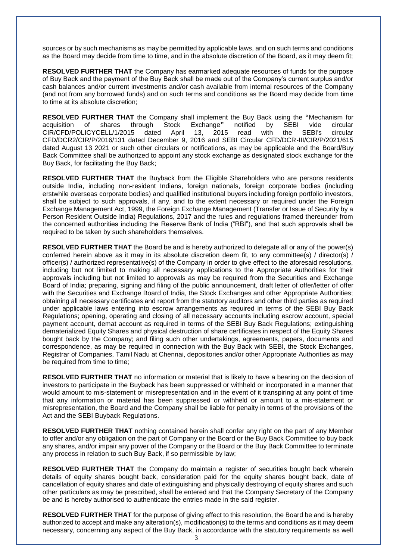sources or by such mechanisms as may be permitted by applicable laws, and on such terms and conditions as the Board may decide from time to time, and in the absolute discretion of the Board, as it may deem fit;

**RESOLVED FURTHER THAT** the Company has earmarked adequate resources of funds for the purpose of Buy Back and the payment of the Buy Back shall be made out of the Company's current surplus and/or cash balances and/or current investments and/or cash available from internal resources of the Company (and not from any borrowed funds) and on such terms and conditions as the Board may decide from time to time at its absolute discretion;

**RESOLVED FURTHER THAT** the Company shall implement the Buy Back using the **"**Mechanism for acquisition of shares through Stock Exchange**"** notified by SEBI vide circular CIR/CFD/POLICYCELL/1/2015 dated April 13, 2015 read with the SEBI's circular CFD/DCR2/CIR/P/2016/131 dated December 9, 2016 and SEBI Circular CFD/DCR-III/CIR/P/2021/615 dated August 13 2021 or such other circulars or notifications, as may be applicable and the Board/Buy Back Committee shall be authorized to appoint any stock exchange as designated stock exchange for the Buy Back, for facilitating the Buy Back;

**RESOLVED FURTHER THAT** the Buyback from the Eligible Shareholders who are persons residents outside India, including non-resident Indians, foreign nationals, foreign corporate bodies (including erstwhile overseas corporate bodies) and qualified institutional buyers including foreign portfolio investors, shall be subject to such approvals, if any, and to the extent necessary or required under the Foreign Exchange Management Act, 1999, the Foreign Exchange Management (Transfer or Issue of Security by a Person Resident Outside India) Regulations, 2017 and the rules and regulations framed thereunder from the concerned authorities including the Reserve Bank of India ("RBI"), and that such approvals shall be required to be taken by such shareholders themselves.

**RESOLVED FURTHER THAT** the Board be and is hereby authorized to delegate all or any of the power(s) conferred herein above as it may in its absolute discretion deem fit, to any committee(s) / director(s) / officer(s) / authorized representative(s) of the Company in order to give effect to the aforesaid resolutions, including but not limited to making all necessary applications to the Appropriate Authorities for their approvals including but not limited to approvals as may be required from the Securities and Exchange Board of India; preparing, signing and filing of the public announcement, draft letter of offer/letter of offer with the Securities and Exchange Board of India, the Stock Exchanges and other Appropriate Authorities; obtaining all necessary certificates and report from the statutory auditors and other third parties as required under applicable laws entering into escrow arrangements as required in terms of the SEBI Buy Back Regulations; opening, operating and closing of all necessary accounts including escrow account, special payment account, demat account as required in terms of the SEBI Buy Back Regulations; extinguishing dematerialized Equity Shares and physical destruction of share certificates in respect of the Equity Shares bought back by the Company; and filing such other undertakings, agreements, papers, documents and correspondence, as may be required in connection with the Buy Back with SEBI, the Stock Exchanges, Registrar of Companies, Tamil Nadu at Chennai, depositories and/or other Appropriate Authorities as may be required from time to time;

**RESOLVED FURTHER THAT** no information or material that is likely to have a bearing on the decision of investors to participate in the Buyback has been suppressed or withheld or incorporated in a manner that would amount to mis-statement or misrepresentation and in the event of it transpiring at any point of time that any information or material has been suppressed or withheld or amount to a mis-statement or misrepresentation, the Board and the Company shall be liable for penalty in terms of the provisions of the Act and the SEBI Buyback Regulations.

**RESOLVED FURTHER THAT** nothing contained herein shall confer any right on the part of any Member to offer and/or any obligation on the part of Company or the Board or the Buy Back Committee to buy back any shares, and/or impair any power of the Company or the Board or the Buy Back Committee to terminate any process in relation to such Buy Back, if so permissible by law;

**RESOLVED FURTHER THAT** the Company do maintain a register of securities bought back wherein details of equity shares bought back, consideration paid for the equity shares bought back, date of cancellation of equity shares and date of extinguishing and physically destroying of equity shares and such other particulars as may be prescribed, shall be entered and that the Company Secretary of the Company be and is hereby authorised to authenticate the entries made in the said register.

**RESOLVED FURTHER THAT** for the purpose of giving effect to this resolution, the Board be and is hereby authorized to accept and make any alteration(s), modification(s) to the terms and conditions as it may deem necessary, concerning any aspect of the Buy Back, in accordance with the statutory requirements as well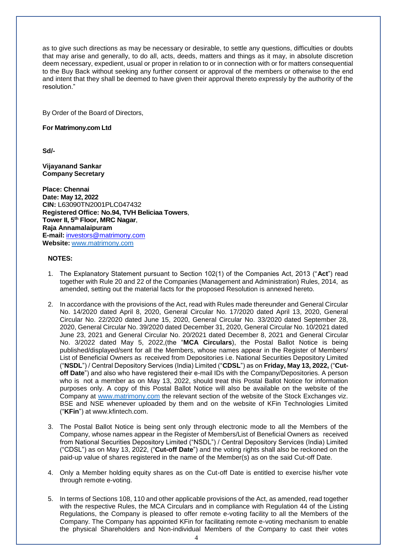as to give such directions as may be necessary or desirable, to settle any questions, difficulties or doubts that may arise and generally, to do all, acts, deeds, matters and things as it may, in absolute discretion deem necessary, expedient, usual or proper in relation to or in connection with or for matters consequential to the Buy Back without seeking any further consent or approval of the members or otherwise to the end and intent that they shall be deemed to have given their approval thereto expressly by the authority of the resolution."

By Order of the Board of Directors,

**For Matrimony.com Ltd**

**Sd/-**

**Vijayanand Sankar Company Secretary**

**Place: Chennai Date: May 12, 2022 CIN:** L63090TN2001PLC047432 **Registered Office: No.94, TVH Beliciaa Towers**, **Tower II, 5th Floor, MRC Nagar**, **Raja Annamalaipuram E-mail:** investors@matrimony.com **Website:** www.matrimony.com

#### **NOTES:**

- 1. The Explanatory Statement pursuant to Section 102(1) of the Companies Act, 2013 ("**Act**") read together with Rule 20 and 22 of the Companies (Management and Administration) Rules, 2014, as amended, setting out the material facts for the proposed Resolution is annexed hereto.
- 2. In accordance with the provisions of the Act, read with Rules made thereunder and General Circular No. 14/2020 dated April 8, 2020, General Circular No. 17/2020 dated April 13, 2020, General Circular No. 22/2020 dated June 15, 2020, General Circular No. 33/2020 dated September 28, 2020, General Circular No. 39/2020 dated December 31, 2020, General Circular No. 10/2021 dated June 23, 2021 and General Circular No. 20/2021 dated December 8, 2021 and General Circular No. 3/2022 dated May 5, 2022,(the "**MCA Circulars**), the Postal Ballot Notice is being published/displayed/sent for all the Members, whose names appear in the Register of Members/ List of Beneficial Owners as received from Depositories i.e. National Securities Depository Limited ("**NSDL**") / Central Depository Services (India) Limited ("**CDSL**") as on **Friday, May 13, 2022,** ("**Cutoff Date**") and also who have registered their e-mail IDs with the Company/Depositories. A person who is not a member as on May 13, 2022, should treat this Postal Ballot Notice for information purposes only. A copy of this Postal Ballot Notice will also be available on the website of the Company at www.matrimony.com the relevant section of the website of the Stock Exchanges viz. BSE and NSE whenever uploaded by them and on the website of KFin Technologies Limited ("**KFin**") at [www.kfintech.com.](http://www.kfintech.com/)
- 3. The Postal Ballot Notice is being sent only through electronic mode to all the Members of the Company, whose names appear in the Register of Members/List of Beneficial Owners as received from National Securities Depository Limited ("NSDL") / Central Depository Services (India) Limited ("CDSL") as on May 13, 2022, ("**Cut-off Date**") and the voting rights shall also be reckoned on the paid-up value of shares registered in the name of the Member(s) as on the said Cut-off Date.
- 4. Only a Member holding equity shares as on the Cut-off Date is entitled to exercise his/her vote through remote e-voting.
- 5. In terms of Sections 108, 110 and other applicable provisions of the Act, as amended, read together with the respective Rules, the MCA Circulars and in compliance with Regulation 44 of the Listing Regulations, the Company is pleased to offer remote e-voting facility to all the Members of the Company. The Company has appointed KFin for facilitating remote e-voting mechanism to enable the physical Shareholders and Non-individual Members of the Company to cast their votes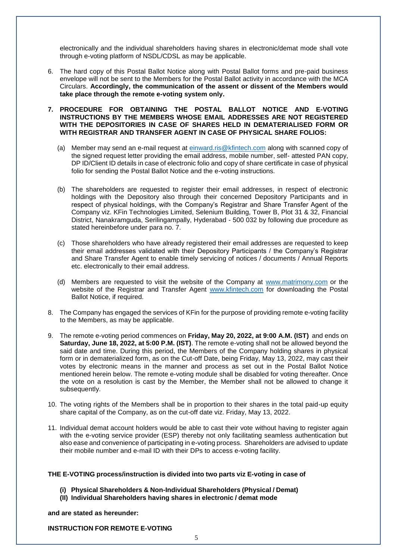electronically and the individual shareholders having shares in electronic/demat mode shall vote through e-voting platform of NSDL/CDSL as may be applicable.

6. The hard copy of this Postal Ballot Notice along with Postal Ballot forms and pre-paid business envelope will not be sent to the Members for the Postal Ballot activity in accordance with the MCA Circulars. **Accordingly, the communication of the assent or dissent of the Members would take place through the remote e-voting system only.**

#### **7. PROCEDURE FOR OBTAINING THE POSTAL BALLOT NOTICE AND E-VOTING INSTRUCTIONS BY THE MEMBERS WHOSE EMAIL ADDRESSES ARE NOT REGISTERED WITH THE DEPOSITORIES IN CASE OF SHARES HELD IN DEMATERIALISED FORM OR WITH REGISTRAR AND TRANSFER AGENT IN CASE OF PHYSICAL SHARE FOLIOS:**

- (a) Member may send an e-mail request at *einward.ris@kfintech.com* along with scanned copy of the signed request letter providing the email address, mobile number, self- attested PAN copy, DP ID/Client ID details in case of electronic folio and copy of share certificate in case of physical folio for sending the Postal Ballot Notice and the e-voting instructions.
- (b) The shareholders are requested to register their email addresses, in respect of electronic holdings with the Depository also through their concerned Depository Participants and in respect of physical holdings, with the Company's Registrar and Share Transfer Agent of the Company viz. KFin Technologies Limited, Selenium Building, Tower B, Plot 31 & 32, Financial District, Nanakramguda, Serilingampally, Hyderabad - 500 032 by following due procedure as stated hereinbefore under para no. 7.
- (c) Those shareholders who have already registered their email addresses are requested to keep their email addresses validated with their Depository Participants / the Company's Registrar and Share Transfer Agent to enable timely servicing of notices / documents / Annual Reports etc. electronically to their email address.
- (d) Members are requested to visit the website of the Company at www.matrimony.com or the website of the Registrar and Transfer Agent [www.kfintech.com](http://www.kfintech.com/) for downloading the Postal Ballot Notice, if required.
- 8. The Company has engaged the services of KFin for the purpose of providing remote e-voting facility to the Members, as may be applicable.
- 9. The remote e-voting period commences on **Friday, May 20, 2022, at 9:00 A.M. (IST)** and ends on **Saturday, June 18, 2022, at 5:00 P.M. (IST)**. The remote e-voting shall not be allowed beyond the said date and time. During this period, the Members of the Company holding shares in physical form or in dematerialized form, as on the Cut-off Date, being Friday, May 13, 2022, may cast their votes by electronic means in the manner and process as set out in the Postal Ballot Notice mentioned herein below. The remote e-voting module shall be disabled for voting thereafter. Once the vote on a resolution is cast by the Member, the Member shall not be allowed to change it subsequently.
- 10. The voting rights of the Members shall be in proportion to their shares in the total paid-up equity share capital of the Company, as on the cut-off date viz. Friday, May 13, 2022.
- 11. Individual demat account holders would be able to cast their vote without having to register again with the e-voting service provider (ESP) thereby not only facilitating seamless authentication but also ease and convenience of participating in e-voting process. Shareholders are advised to update their mobile number and e-mail ID with their DPs to access e-voting facility.

#### **THE E-VOTING process/instruction is divided into two parts viz E-voting in case of**

- **(i) Physical Shareholders & Non-Individual Shareholders (Physical / Demat)**
- **(II) Individual Shareholders having shares in electronic / demat mode**

**and are stated as hereunder:**

#### **INSTRUCTION FOR REMOTE E-VOTING**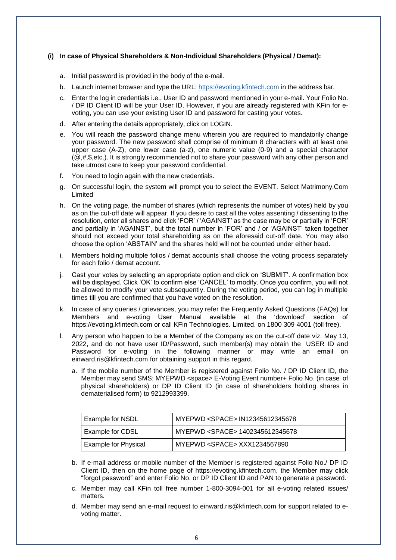#### **(i) In case of Physical Shareholders & Non-Individual Shareholders (Physical / Demat):**

- a. Initial password is provided in the body of the e-mail.
- b. Launch internet browser and type the URL: [https://evoting.kfintech.com](https://evoting.kfintech.com/) in the address bar.
- c. Enter the log in credentials i.e., User ID and password mentioned in your e-mail. Your Folio No. / DP ID Client ID will be your User ID. However, if you are already registered with KFin for evoting, you can use your existing User ID and password for casting your votes.
- d. After entering the details appropriately, click on LOGIN.
- e. You will reach the password change menu wherein you are required to mandatorily change your password. The new password shall comprise of minimum 8 characters with at least one upper case (A-Z), one lower case (a-z), one numeric value (0-9) and a special character  $(\mathcal{Q}, \#, \$, etc.).$  It is strongly recommended not to share your password with any other person and take utmost care to keep your password confidential.
- f. You need to login again with the new credentials.
- g. On successful login, the system will prompt you to select the EVENT. Select Matrimony.Com Limited
- h. On the voting page, the number of shares (which represents the number of votes) held by you as on the cut-off date will appear. If you desire to cast all the votes assenting / dissenting to the resolution, enter all shares and click 'FOR' / 'AGAINST' as the case may be or partially in 'FOR' and partially in 'AGAINST', but the total number in 'FOR' and / or 'AGAINST' taken together should not exceed your total shareholding as on the aforesaid cut-off date. You may also choose the option 'ABSTAIN' and the shares held will not be counted under either head.
- i. Members holding multiple folios / demat accounts shall choose the voting process separately for each folio / demat account.
- j. Cast your votes by selecting an appropriate option and click on 'SUBMIT'. A confirmation box will be displayed. Click 'OK' to confirm else 'CANCEL' to modify. Once you confirm, you will not be allowed to modify your vote subsequently. During the voting period, you can log in multiple times till you are confirmed that you have voted on the resolution.
- k. In case of any queries / grievances, you may refer the Frequently Asked Questions (FAQs) for Members and e-voting User Manual available at the 'download' section of https://evoting.kfintech.com or call KFin Technologies. Limited. on 1800 309 4001 (toll free).
- l. Any person who happen to be a Member of the Company as on the cut-off date viz. May 13, 2022, and do not have user ID/Password, such member(s) may obtain the USER ID and Password for e-voting in the following manner or may write an email on [einward.ris@kfintech.com f](mailto:einward.ris@kfintech.com)or obtaining support in this regard.
	- a. If the mobile number of the Member is registered against Folio No. / DP ID Client ID, the Member may send SMS: MYEPWD <space> E-Voting Event number+ Folio No. (in case of physical shareholders) or DP ID Client ID (in case of shareholders holding shares in dematerialised form) to 9212993399.

| <b>Example for NSDL</b>     | MYEPWD <space> IN12345612345678</space> |
|-----------------------------|-----------------------------------------|
| Example for CDSL            | MYEPWD <space> 1402345612345678</space> |
| <b>Example for Physical</b> | MYEPWD <space> XXX1234567890</space>    |

- b. If e-mail address or mobile number of the Member is registered against Folio No./ DP ID Client ID, then on the home page of https://evoting.kfintech.com, the Member may click "forgot password" and enter Folio No. or DP ID Client ID and PAN to generate a password.
- c. Member may call KFin toll free number 1-800-3094-001 for all e-voting related issues/ matters.
- d. Member may send an e-mail request to [einward.ris@kfintech.com f](mailto:einward.ris@kfintech.com)or support related to evoting matter.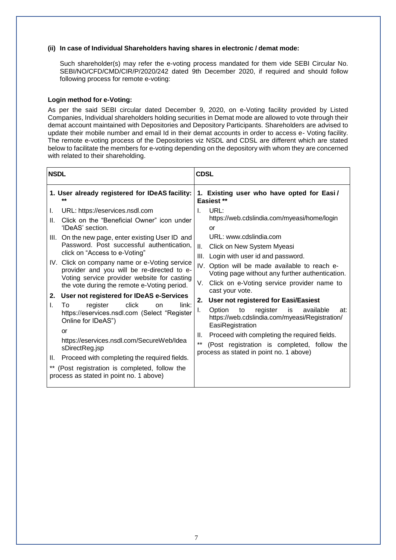#### **(ii) In case of Individual Shareholders having shares in electronic / demat mode:**

Such shareholder(s) may refer the e-voting process mandated for them vide SEBI Circular No. SEBI/NO/CFD/CMD/CIR/P/2020/242 dated 9th December 2020, if required and should follow following process for remote e-voting:

#### **Login method for e-Voting:**

As per the said SEBI circular dated December 9, 2020, on e-Voting facility provided by Listed Companies, Individual shareholders holding securities in Demat mode are allowed to vote through their demat account maintained with Depositories and Depository Participants. Shareholders are advised to update their mobile number and email Id in their demat accounts in order to access e- Voting facility. The remote e-voting process of the Depositories viz NSDL and CDSL are different which are stated below to facilitate the members for e-voting depending on the depository with whom they are concerned with related to their shareholding.

| <b>NSDL</b>                                      | <b>CDSL</b>                                     |  |  |
|--------------------------------------------------|-------------------------------------------------|--|--|
| 1. User already registered for IDeAS facility:   | 1. Existing user who have opted for Easi/       |  |  |
| **                                               | Easiest **                                      |  |  |
| URL: https://eservices.nsdl.com                  | URL:                                            |  |  |
| I.                                               | I.                                              |  |  |
| Click on the "Beneficial Owner" icon under       | https://web.cdslindia.com/myeasi/home/login     |  |  |
| Ш.                                               | or                                              |  |  |
| 'IDeAS' section.                                 | URL: www.cdslindia.com                          |  |  |
| III. On the new page, enter existing User ID and | Ш.                                              |  |  |
| Password. Post successful authentication,        | Click on New System Myeasi                      |  |  |
| click on "Access to e-Voting"                    | III. Login with user id and password.           |  |  |
| IV. Click on company name or e-Voting service    | IV.                                             |  |  |
| provider and you will be re-directed to e-       | Option will be made available to reach e-       |  |  |
| Voting service provider website for casting      | Voting page without any further authentication. |  |  |
| the vote during the remote e-Voting period.      | Click on e-Voting service provider name to      |  |  |
| User not registered for IDeAS e-Services         | V.                                              |  |  |
| 2.                                               | cast your vote.                                 |  |  |
| click                                            | User not registered for Easi/Easiest            |  |  |
| link:                                            | 2.                                              |  |  |
| L.                                               | I.                                              |  |  |
| To                                               | Option                                          |  |  |
| register                                         | to                                              |  |  |
| on                                               | register                                        |  |  |
| https://eservices.nsdl.com (Select "Register     | is                                              |  |  |
| Online for IDeAS")                               | available                                       |  |  |
| <b>or</b>                                        | at:                                             |  |  |
| https://eservices.nsdl.com/SecureWeb/Idea        | https://web.cdslindia.com/myeasi/Registration/  |  |  |
| sDirectReg.jsp                                   | EasiRegistration                                |  |  |
| Proceed with completing the required fields.     | Proceed with completing the required fields.    |  |  |
| Ш.                                               | Ш.                                              |  |  |
| $***$                                            | $\star\star$                                    |  |  |
| (Post registration is completed, follow the      | (Post registration is completed, follow the     |  |  |
| process as stated in point no. 1 above)          | process as stated in point no. 1 above)         |  |  |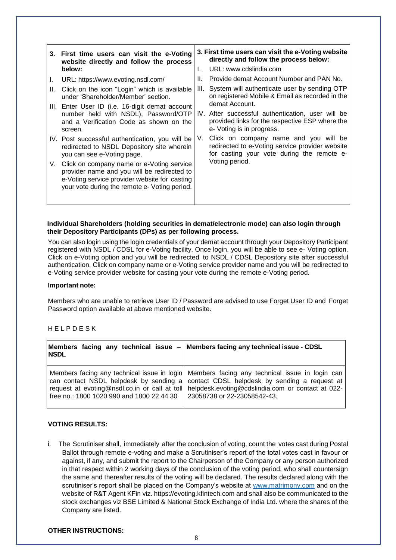|          | 3. First time users can visit the e-Voting<br>website directly and follow the process<br>below:                                                                                                                                                                                                                                                                             | L.               | 3. First time users can visit the e-Voting website<br>directly and follow the process below:<br>URL: www.cdslindia.com                                                                                                                                                                                                                                                                                                                       |
|----------|-----------------------------------------------------------------------------------------------------------------------------------------------------------------------------------------------------------------------------------------------------------------------------------------------------------------------------------------------------------------------------|------------------|----------------------------------------------------------------------------------------------------------------------------------------------------------------------------------------------------------------------------------------------------------------------------------------------------------------------------------------------------------------------------------------------------------------------------------------------|
| I.<br>Ш. | URL: https://www.evoting.nsdl.com/<br>Click on the icon "Login" which is available<br>under 'Shareholder/Member' section.<br>III. Enter User ID (i.e. 16-digit demat account<br>number held with NSDL), Password/OTP<br>and a Verification Code as shown on the<br>screen.<br>IV. Post successful authentication, you will be<br>redirected to NSDL Depository site wherein | Н.<br>III.<br>V. | Provide demat Account Number and PAN No.<br>System will authenticate user by sending OTP<br>on registered Mobile & Email as recorded in the<br>demat Account.<br>IV. After successful authentication, user will be<br>provided links for the respective ESP where the<br>e- Voting is in progress.<br>Click on company name and you will be<br>redirected to e-Voting service provider website<br>for casting your vote during the remote e- |
| V.       | you can see e-Voting page.<br>Click on company name or e-Voting service<br>provider name and you will be redirected to<br>e-Voting service provider website for casting<br>your vote during the remote e- Voting period.                                                                                                                                                    |                  | Voting period.                                                                                                                                                                                                                                                                                                                                                                                                                               |

#### **Individual Shareholders (holding securities in demat/electronic mode) can also login through their Depository Participants (DPs) as per following process.**

You can also login using the login credentials of your demat account through your Depository Participant registered with NSDL / CDSL for e-Voting facility. Once login, you will be able to see e- Voting option. Click on e-Voting option and you will be redirected to NSDL / CDSL Depository site after successful authentication. Click on company name or e-Voting service provider name and you will be redirected to e-Voting service provider website for casting your vote during the remote e-Voting period.

#### **Important note:**

Members who are unable to retrieve User ID / Password are advised to use Forget User ID and Forget Password option available at above mentioned website.

#### H E L P D E S K

| <b>NSDL</b>                               | Members facing any technical issue $-$ Members facing any technical issue - CDSL                                                                                                                                                                                                                                          |
|-------------------------------------------|---------------------------------------------------------------------------------------------------------------------------------------------------------------------------------------------------------------------------------------------------------------------------------------------------------------------------|
| free no.: 1800 1020 990 and 1800 22 44 30 | Members facing any technical issue in login   Members facing any technical issue in login can<br>can contact NSDL helpdesk by sending a contact CDSL helpdesk by sending a request at<br>request at evoting@nsdl.co.in or call at toll   helpdesk.evoting@cdslindia.com or contact at 022-<br>23058738 or 22-23058542-43. |

#### **VOTING RESULTS:**

i. The Scrutiniser shall, immediately after the conclusion of voting, count the votes cast during Postal Ballot through remote e-voting and make a Scrutiniser's report of the total votes cast in favour or against, if any, and submit the report to the Chairperson of the Company or any person authorized in that respect within 2 working days of the conclusion of the voting period, who shall countersign the same and thereafter results of the voting will be declared. The results declared along with the scrutiniser's report shall be placed on the Company's website at [www.matrimony.com](http://www.matrimony.com/) and on the website of R&T Agent KFin viz. https://evoting.kfintech.com and shall also be communicated to the stock exchanges viz BSE Limited & National Stock Exchange of India Ltd. where the shares of the Company are listed.

#### **OTHER INSTRUCTIONS:**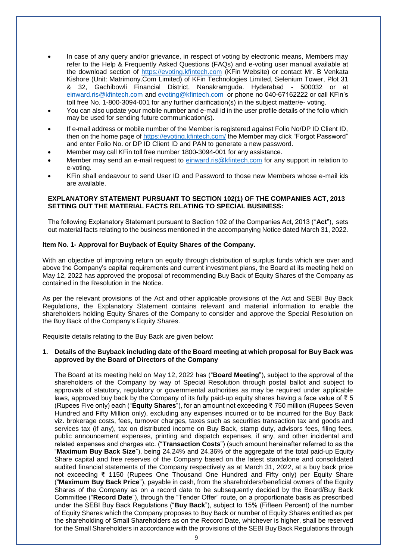- In case of any query and/or grievance, in respect of voting by electronic means, Members may refer to the Help & Frequently Asked Questions (FAQs) and e-voting user manual available at the download section of [https://evoting.kfintech.com](https://evoting.kfintech.com/) (KFin Website) or contact Mr. B Venkata Kishore (Unit: Matrimony.Com Limited) of KFin Technologies Limited, Selenium Tower, Plot 31 & 32, Gachibowli Financial District, Nanakramguda. Hyderabad - 500032 or at [einward.ris@kfintech.com](mailto:einward.ris@kfintech.com) and [evoting@kfintech.com](mailto:evoting@kfintech.com) or phone no 040-67162222 or call KFin's toll free No. 1-800-3094-001 for any further clarification(s) in the subject matter/e- voting.
- You can also update your mobile number and e-mail id in the user profile details of the folio which may be used for sending future communication(s).
- If e-mail address or mobile number of the Member is registered against Folio No/DP ID Client ID, then on the home page of<https://evoting.kfintech.com/> the Member may click "Forgot Password" and enter Folio No. or DP ID Client ID and PAN to generate a new password.
- Member may call KFin toll free number 1800-3094-001 for any assistance.
- Member may send an e-mail request to [einward.ris@kfintech.com](mailto:einward.ris@kfintech.com) for any support in relation to e-voting.
- KFin shall endeavour to send User ID and Password to those new Members whose e-mail ids are available.

#### **EXPLANATORY STATEMENT PURSUANT TO SECTION 102(1) OF THE COMPANIES ACT, 2013 SETTING OUT THE MATERIAL FACTS RELATING TO SPECIAL BUSINESS:**

The following Explanatory Statement pursuant to Section 102 of the Companies Act, 2013 ("**Act**"), sets out material facts relating to the business mentioned in the accompanying Notice dated March 31, 2022.

#### **Item No. 1- Approval for Buyback of Equity Shares of the Company.**

With an objective of improving return on equity through distribution of surplus funds which are over and above the Company's capital requirements and current investment plans, the Board at its meeting held on May 12, 2022 has approved the proposal of recommending Buy Back of Equity Shares of the Company as contained in the Resolution in the Notice.

As per the relevant provisions of the Act and other applicable provisions of the Act and SEBI Buy Back Regulations, the Explanatory Statement contains relevant and material information to enable the shareholders holding Equity Shares of the Company to consider and approve the Special Resolution on the Buy Back of the Company's Equity Shares.

Requisite details relating to the Buy Back are given below:

#### **1. Details of the Buyback including date of the Board meeting at which proposal for Buy Back was approved by the Board of Directors of the Company**

The Board at its meeting held on May 12, 2022 has ("**Board Meeting**"), subject to the approval of the shareholders of the Company by way of Special Resolution through postal ballot and subject to approvals of statutory, regulatory or governmental authorities as may be required under applicable laws, approved buy back by the Company of its fully paid-up equity shares having a face value of  $\overline{\xi}$  5 (Rupees Five only) each ("**Equity Shares**"), for an amount not exceeding ₹ 750 million (Rupees Seven Hundred and Fifty Million only), excluding any expenses incurred or to be incurred for the Buy Back viz. brokerage costs, fees, turnover charges, taxes such as securities transaction tax and goods and services tax (if any), tax on distributed income on Buy Back, stamp duty, advisors fees, filing fees, public announcement expenses, printing and dispatch expenses, if any, and other incidental and related expenses and charges etc. ("**Transaction Costs**") (such amount hereinafter referred to as the "**Maximum Buy Back Size**"), being 24.24% and 24.36% of the aggregate of the total paid‐up Equity Share capital and free reserves of the Company based on the latest standalone and consolidated audited financial statements of the Company respectively as at March 31, 2022, at a buy back price not exceeding ₹ 1150 (Rupees One Thousand One Hundred and Fifty only) per Equity Share ("**Maximum Buy Back Price**"), payable in cash, from the shareholders/beneficial owners of the Equity Shares of the Company as on a record date to be subsequently decided by the Board/Buy Back Committee ("**Record Date**"), through the "Tender Offer" route, on a proportionate basis as prescribed under the SEBI Buy Back Regulations ("**Buy Back**"), subject to 15% (Fifteen Percent) of the number of Equity Shares which the Company proposes to Buy Back or number of Equity Shares entitled as per the shareholding of Small Shareholders as on the Record Date, whichever is higher, shall be reserved for the Small Shareholders in accordance with the provisions of the SEBI Buy Back Regulations through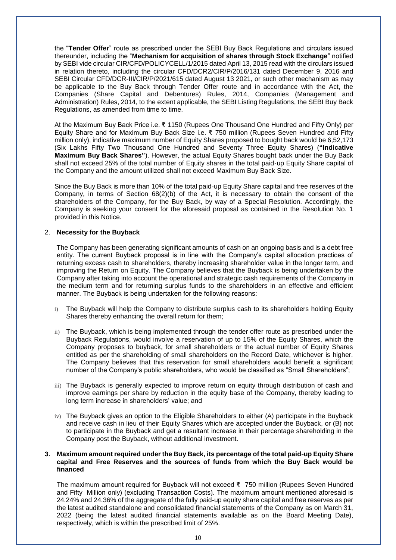the "**Tender Offer**" route as prescribed under the SEBI Buy Back Regulations and circulars issued thereunder, including the "**Mechanism for acquisition of shares through Stock Exchange**" notified by SEBI vide circular CIR/CFD/POLICYCELL/1/2015 dated April 13, 2015 read with the circulars issued in relation thereto, including the circular CFD/DCR2/CIR/P/2016/131 dated December 9, 2016 and SEBI Circular CFD/DCR-III/CIR/P/2021/615 dated August 13 2021, or such other mechanism as may be applicable to the Buy Back through Tender Offer route and in accordance with the Act, the Companies (Share Capital and Debentures) Rules, 2014, Companies (Management and Administration) Rules, 2014, to the extent applicable, the SEBI Listing Regulations, the SEBI Buy Back Regulations, as amended from time to time.

At the Maximum Buy Back Price i.e. ₹ 1150 (Rupees One Thousand One Hundred and Fifty Only) per Equity Share and for Maximum Buy Back Size i.e. ₹ 750 million (Rupees Seven Hundred and Fifty million only), indicative maximum number of Equity Shares proposed to bought back would be 6,52,173 (Six Lakhs Fifty Two Thousand One Hundred and Seventy Three Equity Shares) (**"Indicative Maximum Buy Back Shares"**). However, the actual Equity Shares bought back under the Buy Back shall not exceed 25% of the total number of Equity shares in the total paid‐up Equity Share capital of the Company and the amount utilized shall not exceed Maximum Buy Back Size.

Since the Buy Back is more than 10% of the total paid‐up Equity Share capital and free reserves of the Company, in terms of Section 68(2)(b) of the Act, it is necessary to obtain the consent of the shareholders of the Company, for the Buy Back, by way of a Special Resolution. Accordingly, the Company is seeking your consent for the aforesaid proposal as contained in the Resolution No. 1 provided in this Notice.

#### 2. **Necessity for the Buyback**

The Company has been generating significant amounts of cash on an ongoing basis and is a debt free entity. The current Buyback proposal is in line with the Company's capital allocation practices of returning excess cash to shareholders, thereby increasing shareholder value in the longer term, and improving the Return on Equity. The Company believes that the Buyback is being undertaken by the Company after taking into account the operational and strategic cash requirements of the Company in the medium term and for returning surplus funds to the shareholders in an effective and efficient manner. The Buyback is being undertaken for the following reasons:

- i) The Buyback will help the Company to distribute surplus cash to its shareholders holding Equity Shares thereby enhancing the overall return for them;
- ii) The Buyback, which is being implemented through the tender offer route as prescribed under the Buyback Regulations, would involve a reservation of up to 15% of the Equity Shares, which the Company proposes to buyback, for small shareholders or the actual number of Equity Shares entitled as per the shareholding of small shareholders on the Record Date, whichever is higher. The Company believes that this reservation for small shareholders would benefit a significant number of the Company's public shareholders, who would be classified as "Small Shareholders";
- iii) The Buyback is generally expected to improve return on equity through distribution of cash and improve earnings per share by reduction in the equity base of the Company, thereby leading to long term increase in shareholders' value; and
- iv) The Buyback gives an option to the Eligible Shareholders to either (A) participate in the Buyback and receive cash in lieu of their Equity Shares which are accepted under the Buyback, or (B) not to participate in the Buyback and get a resultant increase in their percentage shareholding in the Company post the Buyback, without additional investment.

#### **3. Maximum amount required under the Buy Back, its percentage of the total paid**‐**up Equity Share capital and Free Reserves and the sources of funds from which the Buy Back would be financed**

The maximum amount required for Buyback will not exceed ₹ 750 million (Rupees Seven Hundred and Fifty Million only) (excluding Transaction Costs). The maximum amount mentioned aforesaid is 24.24% and 24.36% of the aggregate of the fully paid-up equity share capital and free reserves as per the latest audited standalone and consolidated financial statements of the Company as on March 31, 2022 (being the latest audited financial statements available as on the Board Meeting Date), respectively, which is within the prescribed limit of 25%.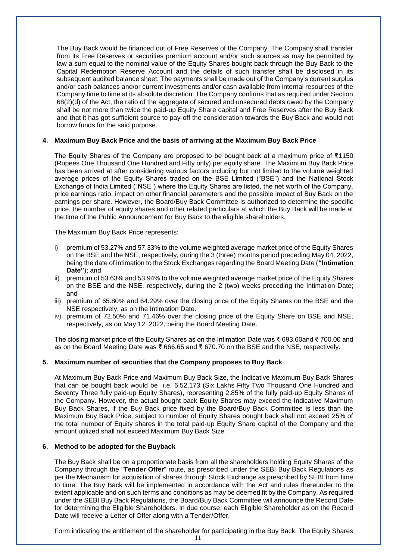The Buy Back would be financed out of Free Reserves of the Company. The Company shall transfer from its Free Reserves or securities premium account and/or such sources as may be permitted by law a sum equal to the nominal value of the Equity Shares bought back through the Buy Back to the Capital Redemption Reserve Account and the details of such transfer shall be disclosed in its subsequent audited balance sheet. The payments shall be made out of the Company's current surplus and/or cash balances and/or current investments and/or cash available from internal resources of the Company time to time at its absolute discretion. The Company confirms that as required under Section 68(2)(d) of the Act, the ratio of the aggregate of secured and unsecured debts owed by the Company shall be not more than twice the paid‐up Equity Share capital and Free Reserves after the Buy Back and that it has got sufficient source to pay‐off the consideration towards the Buy Back and would not borrow funds for the said purpose.

#### **4. Maximum Buy Back Price and the basis of arriving at the Maximum Buy Back Price**

The Equity Shares of the Company are proposed to be bought back at a maximum price of ₹1150 (Rupees One Thousand One Hundred and Fifty only) per equity share. The Maximum Buy Back Price has been arrived at after considering various factors including but not limited to the volume weighted average prices of the Equity Shares traded on the BSE Limited ("BSE") and the National Stock Exchange of India Limited ("NSE") where the Equity Shares are listed, the net worth of the Company, price earnings ratio, impact on other financial parameters and the possible impact of Buy Back on the earnings per share. However, the Board/Buy Back Committee is authorized to determine the specific price, the number of equity shares and other related particulars at which the Buy Back will be made at the time of the Public Announcement for Buy Back to the eligible shareholders.

The Maximum Buy Back Price represents:

- i) premium of 53.27% and 57.33% to the volume weighted average market price of the Equity Shares on the BSE and the NSE, respectively, during the 3 (three) months period preceding May 04, 2022, being the date of intimation to the Stock Exchanges regarding the Board Meeting Date (**"Intimation Date"**); and
- ii) premium of 53.63% and 53.94% to the volume weighted average market price of the Equity Shares on the BSE and the NSE, respectively, during the 2 (two) weeks preceding the Intimation Date; and
- iii) premium of 65.80% and 64.29% over the closing price of the Equity Shares on the BSE and the NSE respectively, as on the Intimation Date.
- iv) premium of 72.50% and 71.46% over the closing price of the Equity Share on BSE and NSE, respectively, as on May 12, 2022, being the Board Meeting Date.

The closing market price of the Equity Shares as on the Intimation Date was ₹ 693.60and ₹ 700.00 and as on the Board Meeting Date was ₹ 666.65 and ₹ 670.70 on the BSE and the NSE, respectively.

#### **5. Maximum number of securities that the Company proposes to Buy Back**

At Maximum Buy Back Price and Maximum Buy Back Size, the Indicative Maximum Buy Back Shares that can be bought back would be i.e. 6,52,173 (Six Lakhs Fifty Two Thousand One Hundred and Seventy Three fully paid‐up Equity Shares), representing 2.85% of the fully paid‐up Equity Shares of the Company. However, the actual bought back Equity Shares may exceed the Indicative Maximum Buy Back Shares, if the Buy Back price fixed by the Board/Buy Back Committee is less than the Maximum Buy Back Price, subject to number of Equity Shares bought back shall not exceed 25% of the total number of Equity shares in the total paid‐up Equity Share capital of the Company and the amount utilized shall not exceed Maximum Buy Back Size.

#### **6. Method to be adopted for the Buyback**

The Buy Back shall be on a proportionate basis from all the shareholders holding Equity Shares of the Company through the "**Tender Offer**" route, as prescribed under the SEBI Buy Back Regulations as per the Mechanism for acquisition of shares through Stock Exchange as prescribed by SEBI from time to time. The Buy Back will be implemented in accordance with the Act and rules thereunder to the extent applicable and on such terms and conditions as may be deemed fit by the Company. As required under the SEBI Buy Back Regulations, the Board/Buy Back Committee will announce the Record Date for determining the Eligible Shareholders. In due course, each Eligible Shareholder as on the Record Date will receive a Letter of Offer along with a Tender/Offer.

Form indicating the entitlement of the shareholder for participating in the Buy Back. The Equity Shares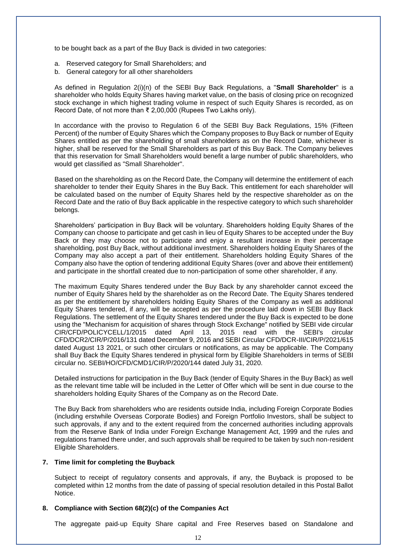to be bought back as a part of the Buy Back is divided in two categories:

- a. Reserved category for Small Shareholders; and
- b. General category for all other shareholders

As defined in Regulation 2(i)(n) of the SEBI Buy Back Regulations, a "**Small Shareholder**" is a shareholder who holds Equity Shares having market value, on the basis of closing price on recognized stock exchange in which highest trading volume in respect of such Equity Shares is recorded, as on Record Date, of not more than ₹ 2,00,000 (Rupees Two Lakhs only).

In accordance with the proviso to Regulation 6 of the SEBI Buy Back Regulations, 15% (Fifteen Percent) of the number of Equity Shares which the Company proposes to Buy Back or number of Equity Shares entitled as per the shareholding of small shareholders as on the Record Date, whichever is higher, shall be reserved for the Small Shareholders as part of this Buy Back. The Company believes that this reservation for Small Shareholders would benefit a large number of public shareholders, who would get classified as "Small Shareholder".

Based on the shareholding as on the Record Date, the Company will determine the entitlement of each shareholder to tender their Equity Shares in the Buy Back. This entitlement for each shareholder will be calculated based on the number of Equity Shares held by the respective shareholder as on the Record Date and the ratio of Buy Back applicable in the respective category to which such shareholder belongs.

Shareholders' participation in Buy Back will be voluntary. Shareholders holding Equity Shares of the Company can choose to participate and get cash in lieu of Equity Shares to be accepted under the Buy Back or they may choose not to participate and enjoy a resultant increase in their percentage shareholding, post Buy Back, without additional investment. Shareholders holding Equity Shares of the Company may also accept a part of their entitlement. Shareholders holding Equity Shares of the Company also have the option of tendering additional Equity Shares (over and above their entitlement) and participate in the shortfall created due to non-participation of some other shareholder, if any.

The maximum Equity Shares tendered under the Buy Back by any shareholder cannot exceed the number of Equity Shares held by the shareholder as on the Record Date. The Equity Shares tendered as per the entitlement by shareholders holding Equity Shares of the Company as well as additional Equity Shares tendered, if any, will be accepted as per the procedure laid down in SEBI Buy Back Regulations. The settlement of the Equity Shares tendered under the Buy Back is expected to be done using the "Mechanism for acquisition of shares through Stock Exchange" notified by SEBI vide circular CIR/CFD/POLICYCELL/1/2015 dated April 13, 2015 read with the SEBI's circular CFD/DCR2/CIR/P/2016/131 dated December 9, 2016 and SEBI Circular CFD/DCR-III/CIR/P/2021/615 dated August 13 2021, or such other circulars or notifications, as may be applicable. The Company shall Buy Back the Equity Shares tendered in physical form by Eligible Shareholders in terms of SEBI circular no. SEBI/HO/CFD/CMD1/CIR/P/2020/144 dated July 31, 2020.

Detailed instructions for participation in the Buy Back (tender of Equity Shares in the Buy Back) as well as the relevant time table will be included in the Letter of Offer which will be sent in due course to the shareholders holding Equity Shares of the Company as on the Record Date.

The Buy Back from shareholders who are residents outside India, including Foreign Corporate Bodies (including erstwhile Overseas Corporate Bodies) and Foreign Portfolio Investors, shall be subject to such approvals, if any and to the extent required from the concerned authorities including approvals from the Reserve Bank of India under Foreign Exchange Management Act, 1999 and the rules and regulations framed there under, and such approvals shall be required to be taken by such non‐resident Eligible Shareholders.

#### **7. Time limit for completing the Buyback**

Subject to receipt of regulatory consents and approvals, if any, the Buyback is proposed to be completed within 12 months from the date of passing of special resolution detailed in this Postal Ballot Notice.

#### **8. Compliance with Section 68(2)(c) of the Companies Act**

The aggregate paid‐up Equity Share capital and Free Reserves based on Standalone and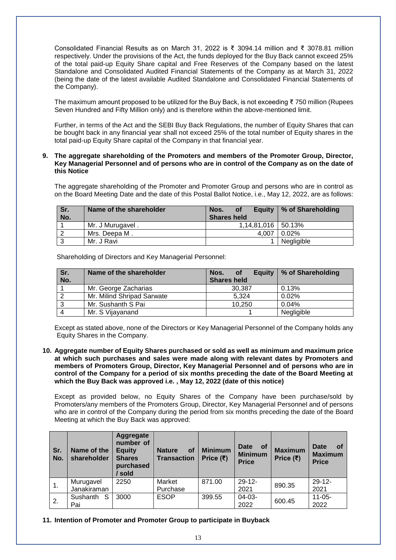Consolidated Financial Results as on March 31, 2022 is ₹ 3094.14 million and ₹ 3078.81 million respectively. Under the provisions of the Act, the funds deployed for the Buy Back cannot exceed 25% of the total paid‐up Equity Share capital and Free Reserves of the Company based on the latest Standalone and Consolidated Audited Financial Statements of the Company as at March 31, 2022 (being the date of the latest available Audited Standalone and Consolidated Financial Statements of the Company).

The maximum amount proposed to be utilized for the Buy Back, is not exceeding ₹ 750 million (Rupees Seven Hundred and Fifty Million only) and is therefore within the above-mentioned limit.

Further, in terms of the Act and the SEBI Buy Back Regulations, the number of Equity Shares that can be bought back in any financial year shall not exceed 25% of the total number of Equity shares in the total paid‐up Equity Share capital of the Company in that financial year.

#### **9. The aggregate shareholding of the Promoters and members of the Promoter Group, Director, Key Managerial Personnel and of persons who are in control of the Company as on the date of this Notice**

The aggregate shareholding of the Promoter and Promoter Group and persons who are in control as on the Board Meeting Date and the date of this Postal Ballot Notice, i.e., May 12, 2022, are as follows:

| Sr. | Name of the shareholder | Nos.<br><b>of</b>      | Equity   % of Shareholding |
|-----|-------------------------|------------------------|----------------------------|
| No. |                         | <b>Shares held</b>     |                            |
|     | Mr. J Murugavel.        | $1.14.81.016$   50.13% |                            |
|     | Mrs. Deepa M.           | 4.007                  | 0.02%                      |
|     | Mr. J Ravi              |                        | Negligible                 |

Shareholding of Directors and Key Managerial Personnel:

| Sr.<br>No. | Name of the shareholder    | <b>Equity</b><br>Nos.<br><b>of</b><br><b>Shares held</b> | % of Shareholding |
|------------|----------------------------|----------------------------------------------------------|-------------------|
|            | Mr. George Zacharias       | 30.387                                                   | 0.13%             |
|            | Mr. Milind Shripad Sarwate | 5.324                                                    | $0.02\%$          |
|            | Mr. Sushanth S Pai         | 10.250                                                   | 0.04%             |
| Δ          | Mr. S Vijayanand           |                                                          | Negligible        |

Except as stated above, none of the Directors or Key Managerial Personnel of the Company holds any Equity Shares in the Company.

**10. Aggregate number of Equity Shares purchased or sold as well as minimum and maximum price at which such purchases and sales were made along with relevant dates by Promoters and members of Promoters Group, Director, Key Managerial Personnel and of persons who are in control of the Company for a period of six months preceding the date of the Board Meeting at which the Buy Back was approved i.e. , May 12, 2022 (date of this notice)**

Except as provided below, no Equity Shares of the Company have been purchase/sold by Promoters/any members of the Promoters Group, Director, Key Managerial Personnel and of persons who are in control of the Company during the period from six months preceding the date of the Board Meeting at which the Buy Back was approved:

| Sr.<br>No.     | Name of the<br>shareholder | <b>Aggregate</b><br>number of<br><b>Equity</b><br><b>Shares</b><br>purchased<br>/ sold | <b>Nature</b><br><b>of</b><br><b>Transaction</b> | <b>Minimum</b><br>Price $(\bar{\tau})$ | <b>Date</b><br>of<br><b>Minimum</b><br><b>Price</b> | <b>Maximum</b><br>Price $(\bar{\tau})$ | <b>Date</b><br><b>of</b><br><b>Maximum</b><br><b>Price</b> |
|----------------|----------------------------|----------------------------------------------------------------------------------------|--------------------------------------------------|----------------------------------------|-----------------------------------------------------|----------------------------------------|------------------------------------------------------------|
| $\mathbf{1}$ . | Murugavel                  | 2250                                                                                   | Market                                           | 871.00                                 | $29 - 12 -$                                         | 890.35                                 | $29 - 12 -$                                                |
|                | Janakiraman                |                                                                                        | Purchase                                         |                                        | 2021                                                |                                        | 2021                                                       |
| 2.             | S<br>Sushanth              | 3000                                                                                   | <b>ESOP</b>                                      | 399.55                                 | $04-03-$                                            | 600.45                                 | $11 - 05 -$                                                |
|                | Pai                        |                                                                                        |                                                  |                                        | 2022                                                |                                        | 2022                                                       |

#### **11. Intention of Promoter and Promoter Group to participate in Buyback**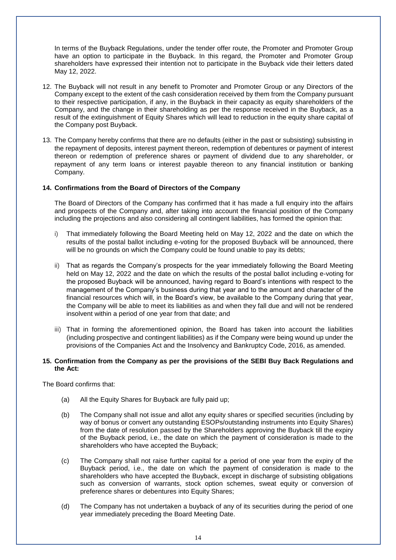In terms of the Buyback Regulations, under the tender offer route, the Promoter and Promoter Group have an option to participate in the Buyback. In this regard, the Promoter and Promoter Group shareholders have expressed their intention not to participate in the Buyback vide their letters dated May 12, 2022.

- 12. The Buyback will not result in any benefit to Promoter and Promoter Group or any Directors of the Company except to the extent of the cash consideration received by them from the Company pursuant to their respective participation, if any, in the Buyback in their capacity as equity shareholders of the Company, and the change in their shareholding as per the response received in the Buyback, as a result of the extinguishment of Equity Shares which will lead to reduction in the equity share capital of the Company post Buyback.
- 13. The Company hereby confirms that there are no defaults (either in the past or subsisting) subsisting in the repayment of deposits, interest payment thereon, redemption of debentures or payment of interest thereon or redemption of preference shares or payment of dividend due to any shareholder, or repayment of any term loans or interest payable thereon to any financial institution or banking Company.

#### **14. Confirmations from the Board of Directors of the Company**

The Board of Directors of the Company has confirmed that it has made a full enquiry into the affairs and prospects of the Company and, after taking into account the financial position of the Company including the projections and also considering all contingent liabilities, has formed the opinion that:

- i) That immediately following the Board Meeting held on May 12, 2022 and the date on which the results of the postal ballot including e-voting for the proposed Buyback will be announced, there will be no grounds on which the Company could be found unable to pay its debts;
- ii) That as regards the Company's prospects for the year immediately following the Board Meeting held on May 12, 2022 and the date on which the results of the postal ballot including e-voting for the proposed Buyback will be announced, having regard to Board's intentions with respect to the management of the Company's business during that year and to the amount and character of the financial resources which will, in the Board's view, be available to the Company during that year, the Company will be able to meet its liabilities as and when they fall due and will not be rendered insolvent within a period of one year from that date; and
- iii) That in forming the aforementioned opinion, the Board has taken into account the liabilities (including prospective and contingent liabilities) as if the Company were being wound up under the provisions of the Companies Act and the Insolvency and Bankruptcy Code, 2016, as amended.

#### **15. Confirmation from the Company as per the provisions of the SEBI Buy Back Regulations and the Act:**

The Board confirms that:

- (a) All the Equity Shares for Buyback are fully paid up;
- (b) The Company shall not issue and allot any equity shares or specified securities (including by way of bonus or convert any outstanding ESOPs/outstanding instruments into Equity Shares) from the date of resolution passed by the Shareholders approving the Buyback till the expiry of the Buyback period, i.e., the date on which the payment of consideration is made to the shareholders who have accepted the Buyback;
- (c) The Company shall not raise further capital for a period of one year from the expiry of the Buyback period, i.e., the date on which the payment of consideration is made to the shareholders who have accepted the Buyback, except in discharge of subsisting obligations such as conversion of warrants, stock option schemes, sweat equity or conversion of preference shares or debentures into Equity Shares;
- (d) The Company has not undertaken a buyback of any of its securities during the period of one year immediately preceding the Board Meeting Date.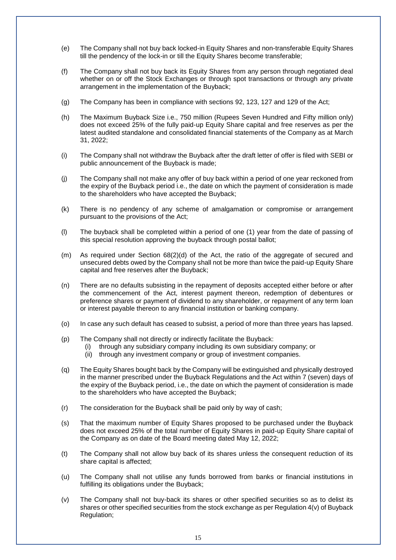- (e) The Company shall not buy back locked-in Equity Shares and non-transferable Equity Shares till the pendency of the lock-in or till the Equity Shares become transferable;
- (f) The Company shall not buy back its Equity Shares from any person through negotiated deal whether on or off the Stock Exchanges or through spot transactions or through any private arrangement in the implementation of the Buyback;
- (g) The Company has been in compliance with sections 92, 123, 127 and 129 of the Act;
- (h) The Maximum Buyback Size i.e., 750 million (Rupees Seven Hundred and Fifty million only) does not exceed 25% of the fully paid-up Equity Share capital and free reserves as per the latest audited standalone and consolidated financial statements of the Company as at March 31, 2022;
- (i) The Company shall not withdraw the Buyback after the draft letter of offer is filed with SEBI or public announcement of the Buyback is made;
- (j) The Company shall not make any offer of buy back within a period of one year reckoned from the expiry of the Buyback period i.e., the date on which the payment of consideration is made to the shareholders who have accepted the Buyback;
- (k) There is no pendency of any scheme of amalgamation or compromise or arrangement pursuant to the provisions of the Act;
- (l) The buyback shall be completed within a period of one (1) year from the date of passing of this special resolution approving the buyback through postal ballot;
- (m) As required under Section 68(2)(d) of the Act, the ratio of the aggregate of secured and unsecured debts owed by the Company shall not be more than twice the paid-up Equity Share capital and free reserves after the Buyback;
- (n) There are no defaults subsisting in the repayment of deposits accepted either before or after the commencement of the Act, interest payment thereon, redemption of debentures or preference shares or payment of dividend to any shareholder, or repayment of any term loan or interest payable thereon to any financial institution or banking company.
- (o) In case any such default has ceased to subsist, a period of more than three years has lapsed.
- (p) The Company shall not directly or indirectly facilitate the Buyback:
	- (i) through any subsidiary company including its own subsidiary company; or
	- (ii) through any investment company or group of investment companies.
- (q) The Equity Shares bought back by the Company will be extinguished and physically destroyed in the manner prescribed under the Buyback Regulations and the Act within 7 (seven) days of the expiry of the Buyback period, i.e., the date on which the payment of consideration is made to the shareholders who have accepted the Buyback;
- (r) The consideration for the Buyback shall be paid only by way of cash;
- (s) That the maximum number of Equity Shares proposed to be purchased under the Buyback does not exceed 25% of the total number of Equity Shares in paid-up Equity Share capital of the Company as on date of the Board meeting dated May 12, 2022;
- (t) The Company shall not allow buy back of its shares unless the consequent reduction of its share capital is affected;
- (u) The Company shall not utilise any funds borrowed from banks or financial institutions in fulfilling its obligations under the Buyback;
- (v) The Company shall not buy-back its shares or other specified securities so as to delist its shares or other specified securities from the stock exchange as per Regulation 4(v) of Buyback Regulation;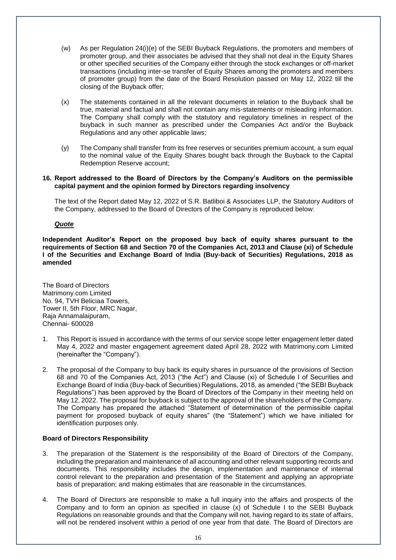- (w) As per Regulation 24(i)(e) of the SEBI Buyback Regulations, the promoters and members of promoter group, and their associates be advised that they shall not deal in the Equity Shares or other specified securities of the Company either through the stock exchanges or off-market transactions (including inter-se transfer of Equity Shares among the promoters and members of promoter group) from the date of the Board Resolution passed on May 12, 2022 till the closing of the Buyback offer;
- (x) The statements contained in all the relevant documents in relation to the Buyback shall be true, material and factual and shall not contain any mis-statements or misleading information. The Company shall comply with the statutory and regulatory timelines in respect of the buyback in such manner as prescribed under the Companies Act and/or the Buyback Regulations and any other applicable laws;
- (y) The Company shall transfer from its free reserves or securities premium account, a sum equal to the nominal value of the Equity Shares bought back through the Buyback to the Capital Redemption Reserve account;
- **16. Report addressed to the Board of Directors by the Company's Auditors on the permissible capital payment and the opinion formed by Directors regarding insolvency**

The text of the Report dated May 12, 2022 of S.R. Batliboi & Associates LLP, the Statutory Auditors of the Company, addressed to the Board of Directors of the Company is reproduced below:

#### *Quote*

**Independent Auditor's Report on the proposed buy back of equity shares pursuant to the requirements of Section 68 and Section 70 of the Companies Act, 2013 and Clause (xi) of Schedule I of the Securities and Exchange Board of India (Buy-back of Securities) Regulations, 2018 as amended**

The Board of Directors Matrimony.com Limited No. 94, TVH Beliciaa Towers, Tower II, 5th Floor, MRC Nagar, Raja Annamalaipuram, Chennai- 600028

- 1. This Report is issued in accordance with the terms of our service scope letter engagement letter dated May 4, 2022 and master engagement agreement dated April 28, 2022 with Matrimony.com Limited (hereinafter the "Company").
- 2. The proposal of the Company to buy back its equity shares in pursuance of the provisions of Section 68 and 70 of the Companies Act, 2013 ("the Act") and Clause (xi) of Schedule I of Securities and Exchange Board of India (Buy-back of Securities) Regulations, 2018, as amended ("the SEBI Buyback Regulations") has been approved by the Board of Directors of the Company in their meeting held on May 12, 2022. The proposal for buyback is subject to the approval of the shareholders of the Company. The Company has prepared the attached "Statement of determination of the permissible capital payment for proposed buyback of equity shares" (the "Statement") which we have initialed for identification purposes only.

#### **Board of Directors Responsibility**

- 3. The preparation of the Statement is the responsibility of the Board of Directors of the Company, including the preparation and maintenance of all accounting and other relevant supporting records and documents. This responsibility includes the design, implementation and maintenance of internal control relevant to the preparation and presentation of the Statement and applying an appropriate basis of preparation; and making estimates that are reasonable in the circumstances.
- 4. The Board of Directors are responsible to make a full inquiry into the affairs and prospects of the Company and to form an opinion as specified in clause (x) of Schedule I to the SEBI Buyback Regulations on reasonable grounds and that the Company will not, having regard to its state of affairs, will not be rendered insolvent within a period of one year from that date. The Board of Directors are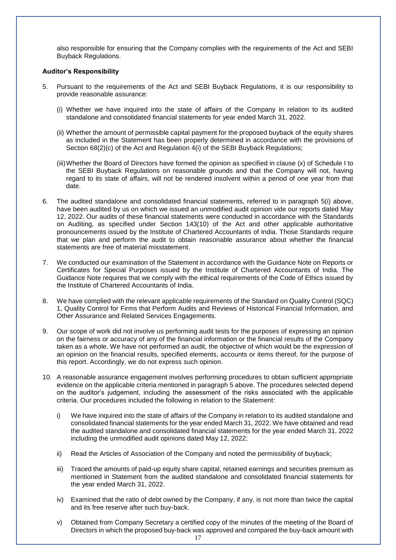also responsible for ensuring that the Company complies with the requirements of the Act and SEBI Buyback Regulations.

#### **Auditor's Responsibility**

- 5. Pursuant to the requirements of the Act and SEBI Buyback Regulations, it is our responsibility to provide reasonable assurance:
	- (i) Whether we have inquired into the state of affairs of the Company in relation to its audited standalone and consolidated financial statements for year ended March 31, 2022.
	- (ii) Whether the amount of permissible capital payment for the proposed buyback of the equity shares as included in the Statement has been properly determined in accordance with the provisions of Section 68(2)(c) of the Act and Regulation 4(i) of the SEBI Buyback Regulations;
	- (iii)Whether the Board of Directors have formed the opinion as specified in clause (x) of Schedule I to the SEBI Buyback Regulations on reasonable grounds and that the Company will not, having regard to its state of affairs, will not be rendered insolvent within a period of one year from that date.
- 6. The audited standalone and consolidated financial statements, referred to in paragraph 5(i) above, have been audited by us on which we issued an unmodified audit opinion vide our reports dated May 12, 2022. Our audits of these financial statements were conducted in accordance with the Standards on Auditing, as specified under Section 143(10) of the Act and other applicable authoritative pronouncements issued by the Institute of Chartered Accountants of India. Those Standards require that we plan and perform the audit to obtain reasonable assurance about whether the financial statements are free of material misstatement.
- 7. We conducted our examination of the Statement in accordance with the Guidance Note on Reports or Certificates for Special Purposes issued by the Institute of Chartered Accountants of India. The Guidance Note requires that we comply with the ethical requirements of the Code of Ethics issued by the Institute of Chartered Accountants of India.
- 8. We have complied with the relevant applicable requirements of the Standard on Quality Control (SQC) 1, Quality Control for Firms that Perform Audits and Reviews of Historical Financial Information, and Other Assurance and Related Services Engagements.
- 9. Our scope of work did not involve us performing audit tests for the purposes of expressing an opinion on the fairness or accuracy of any of the financial information or the financial results of the Company taken as a whole. We have not performed an audit, the objective of which would be the expression of an opinion on the financial results, specified elements, accounts or items thereof, for the purpose of this report. Accordingly, we do not express such opinion.
- 10. A reasonable assurance engagement involves performing procedures to obtain sufficient appropriate evidence on the applicable criteria mentioned in paragraph 5 above. The procedures selected depend on the auditor's judgement, including the assessment of the risks associated with the applicable criteria. Our procedures included the following in relation to the Statement:
	- i) We have inquired into the state of affairs of the Company in relation to its audited standalone and consolidated financial statements for the year ended March 31, 2022. We have obtained and read the audited standalone and consolidated financial statements for the year ended March 31, 2022 including the unmodified audit opinions dated May 12, 2022;
	- ii) Read the Articles of Association of the Company and noted the permissibility of buyback;
	- iii) Traced the amounts of paid-up equity share capital, retained earnings and securities premium as mentioned in Statement from the audited standalone and consolidated financial statements for the year ended March 31, 2022.
	- iv) Examined that the ratio of debt owned by the Company, if any, is not more than twice the capital and its free reserve after such buy-back.
	- v) Obtained from Company Secretary a certified copy of the minutes of the meeting of the Board of Directors in which the proposed buy-back was approved and compared the buy-back amount with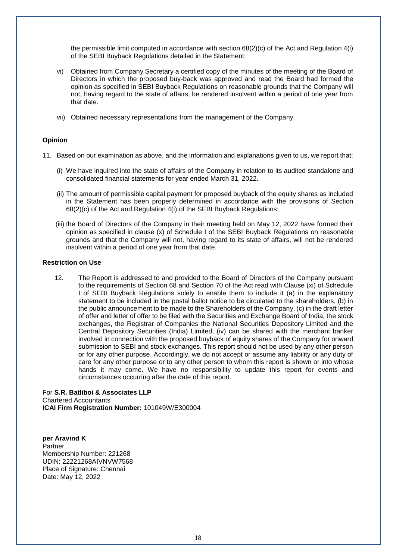the permissible limit computed in accordance with section 68(2)(c) of the Act and Regulation 4(i) of the SEBI Buyback Regulations detailed in the Statement;

- vi) Obtained from Company Secretary a certified copy of the minutes of the meeting of the Board of Directors in which the proposed buy-back was approved and read the Board had formed the opinion as specified in SEBI Buyback Regulations on reasonable grounds that the Company will not, having regard to the state of affairs, be rendered insolvent within a period of one year from that date.
- vii) Obtained necessary representations from the management of the Company.

#### **Opinion**

- 11. Based on our examination as above, and the information and explanations given to us, we report that:
	- (i) We have inquired into the state of affairs of the Company in relation to its audited standalone and consolidated financial statements for year ended March 31, 2022.
	- (ii) The amount of permissible capital payment for proposed buyback of the equity shares as included in the Statement has been properly determined in accordance with the provisions of Section 68(2)(c) of the Act and Regulation 4(i) of the SEBI Buyback Regulations;
	- (iii) the Board of Directors of the Company in their meeting held on May 12, 2022 have formed their opinion as specified in clause (x) of Schedule I of the SEBI Buyback Regulations on reasonable grounds and that the Company will not, having regard to its state of affairs, will not be rendered insolvent within a period of one year from that date.

#### **Restriction on Use**

12. The Report is addressed to and provided to the Board of Directors of the Company pursuant to the requirements of Section 68 and Section 70 of the Act read with Clause (xi) of Schedule I of SEBI Buyback Regulations solely to enable them to include it (a) in the explanatory statement to be included in the postal ballot notice to be circulated to the shareholders, (b) in the public announcement to be made to the Shareholders of the Company, (c) in the draft letter of offer and letter of offer to be filed with the Securities and Exchange Board of India, the stock exchanges, the Registrar of Companies the National Securities Depository Limited and the Central Depository Securities (India) Limited, (iv) can be shared with the merchant banker involved in connection with the proposed buyback of equity shares of the Company for onward submission to SEBI and stock exchanges. This report should not be used by any other person or for any other purpose. Accordingly, we do not accept or assume any liability or any duty of care for any other purpose or to any other person to whom this report is shown or into whose hands it may come. We have no responsibility to update this report for events and circumstances occurring after the date of this report.

For **S.R. Batliboi & Associates LLP** Chartered Accountants **ICAI Firm Registration Number:** 101049W/E300004

**per Aravind K** Partner Membership Number: 221268 UDIN: 22221268AIVNVW7568 Place of Signature: Chennai Date: May 12, 2022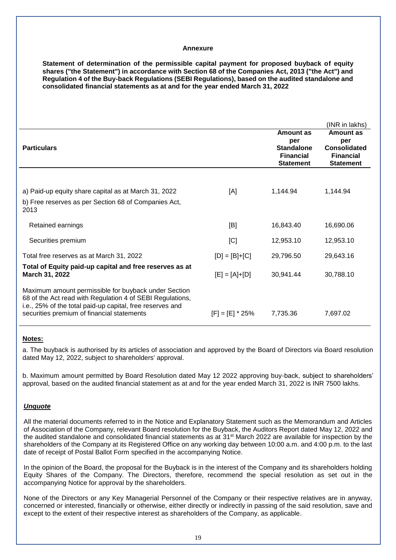#### **Annexure**

**Statement of determination of the permissible capital payment for proposed buyback of equity shares ("the Statement") in accordance with Section 68 of the Companies Act, 2013 ("the Act") and Regulation 4 of the Buy-back Regulations (SEBI Regulations), based on the audited standalone and consolidated financial statements as at and for the year ended March 31, 2022**

|                                                                                                                                                                                                                              |                   |                                                                               | (INR in lakhs)                                                           |
|------------------------------------------------------------------------------------------------------------------------------------------------------------------------------------------------------------------------------|-------------------|-------------------------------------------------------------------------------|--------------------------------------------------------------------------|
| <b>Particulars</b>                                                                                                                                                                                                           |                   | Amount as<br>per<br><b>Standalone</b><br><b>Financial</b><br><b>Statement</b> | Amount as<br>per<br>Consolidated<br><b>Financial</b><br><b>Statement</b> |
|                                                                                                                                                                                                                              |                   |                                                                               |                                                                          |
| a) Paid-up equity share capital as at March 31, 2022<br>b) Free reserves as per Section 68 of Companies Act,<br>2013                                                                                                         | [A]               | 1,144.94                                                                      | 1,144.94                                                                 |
| Retained earnings                                                                                                                                                                                                            | [B]               | 16,843.40                                                                     | 16,690.06                                                                |
| Securities premium                                                                                                                                                                                                           | [C]               | 12,953.10                                                                     | 12,953.10                                                                |
| Total free reserves as at March 31, 2022                                                                                                                                                                                     | $[D] = [B]+[C]$   | 29,796.50                                                                     | 29,643.16                                                                |
| Total of Equity paid-up capital and free reserves as at<br>March 31, 2022                                                                                                                                                    | $[E] = [A]+[D]$   | 30,941.44                                                                     | 30,788.10                                                                |
| Maximum amount permissible for buyback under Section<br>68 of the Act read with Regulation 4 of SEBI Regulations,<br>i.e., 25% of the total paid-up capital, free reserves and<br>securities premium of financial statements | $[F] = [E] * 25%$ | 7,735.36                                                                      | 7,697.02                                                                 |

#### **Notes:**

a. The buyback is authorised by its articles of association and approved by the Board of Directors via Board resolution dated May 12, 2022, subject to shareholders' approval.

b. Maximum amount permitted by Board Resolution dated May 12 2022 approving buy-back, subject to shareholders' approval, based on the audited financial statement as at and for the year ended March 31, 2022 is INR 7500 lakhs.

#### *Unquote*

All the material documents referred to in the Notice and Explanatory Statement such as the Memorandum and Articles of Association of the Company, relevant Board resolution for the Buyback, the Auditors Report dated May 12, 2022 and the audited standalone and consolidated financial statements as at 31<sup>st</sup> March 2022 are available for inspection by the shareholders of the Company at its Registered Office on any working day between 10:00 a.m. and 4:00 p.m. to the last date of receipt of Postal Ballot Form specified in the accompanying Notice.

In the opinion of the Board, the proposal for the Buyback is in the interest of the Company and its shareholders holding Equity Shares of the Company. The Directors, therefore, recommend the special resolution as set out in the accompanying Notice for approval by the shareholders.

None of the Directors or any Key Managerial Personnel of the Company or their respective relatives are in anyway, concerned or interested, financially or otherwise, either directly or indirectly in passing of the said resolution, save and except to the extent of their respective interest as shareholders of the Company, as applicable.